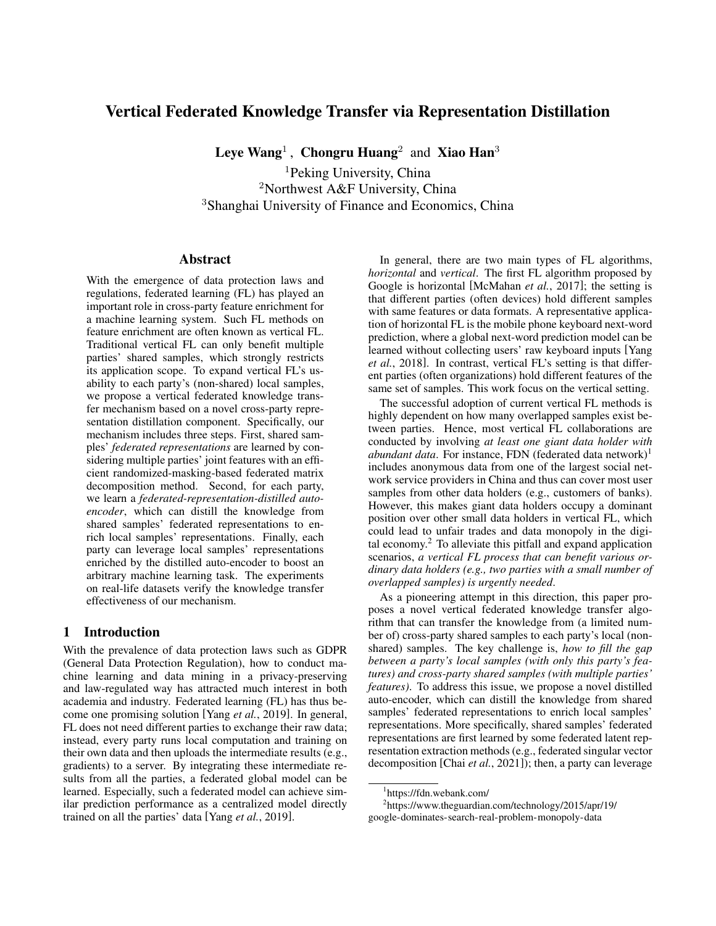# Vertical Federated Knowledge Transfer via Representation Distillation

Leye Wang<sup>1</sup>, Chongru Huang<sup>2</sup> and Xiao Han<sup>3</sup>

<sup>1</sup>Peking University, China <sup>2</sup>Northwest A&F University, China <sup>3</sup>Shanghai University of Finance and Economics, China

#### Abstract

With the emergence of data protection laws and regulations, federated learning (FL) has played an important role in cross-party feature enrichment for a machine learning system. Such FL methods on feature enrichment are often known as vertical FL. Traditional vertical FL can only benefit multiple parties' shared samples, which strongly restricts its application scope. To expand vertical FL's usability to each party's (non-shared) local samples, we propose a vertical federated knowledge transfer mechanism based on a novel cross-party representation distillation component. Specifically, our mechanism includes three steps. First, shared samples' *federated representations* are learned by considering multiple parties' joint features with an efficient randomized-masking-based federated matrix decomposition method. Second, for each party, we learn a *federated-representation-distilled autoencoder*, which can distill the knowledge from shared samples' federated representations to enrich local samples' representations. Finally, each party can leverage local samples' representations enriched by the distilled auto-encoder to boost an arbitrary machine learning task. The experiments on real-life datasets verify the knowledge transfer effectiveness of our mechanism.

## 1 Introduction

With the prevalence of data protection laws such as GDPR (General Data Protection Regulation), how to conduct machine learning and data mining in a privacy-preserving and law-regulated way has attracted much interest in both academia and industry. Federated learning (FL) has thus become one promising solution [Yang *et al.*[, 2019\]](#page-7-0). In general, FL does not need different parties to exchange their raw data; instead, every party runs local computation and training on their own data and then uploads the intermediate results (e.g., gradients) to a server. By integrating these intermediate results from all the parties, a federated global model can be learned. Especially, such a federated model can achieve similar prediction performance as a centralized model directly trained on all the parties' data [Yang *et al.*[, 2019\]](#page-7-0).

In general, there are two main types of FL algorithms, *horizontal* and *vertical*. The first FL algorithm proposed by Google is horizontal [\[McMahan](#page-7-1) *et al.*, 2017]; the setting is that different parties (often devices) hold different samples with same features or data formats. A representative application of horizontal FL is the mobile phone keyboard next-word prediction, where a global next-word prediction model can be learned without collecting users' raw keyboard inputs [\[Yang](#page-7-2) *et al.*[, 2018\]](#page-7-2). In contrast, vertical FL's setting is that different parties (often organizations) hold different features of the same set of samples. This work focus on the vertical setting.

The successful adoption of current vertical FL methods is highly dependent on how many overlapped samples exist between parties. Hence, most vertical FL collaborations are conducted by involving *at least one giant data holder with abundant data*. For instance, FDN (federated data network)<sup>[1](#page-0-0)</sup> includes anonymous data from one of the largest social network service providers in China and thus can cover most user samples from other data holders (e.g., customers of banks). However, this makes giant data holders occupy a dominant position over other small data holders in vertical FL, which could lead to unfair trades and data monopoly in the digi-tal economy.<sup>[2](#page-0-1)</sup> To alleviate this pitfall and expand application scenarios, *a vertical FL process that can benefit various ordinary data holders (e.g., two parties with a small number of overlapped samples) is urgently needed*.

As a pioneering attempt in this direction, this paper proposes a novel vertical federated knowledge transfer algorithm that can transfer the knowledge from (a limited number of) cross-party shared samples to each party's local (nonshared) samples. The key challenge is, *how to fill the gap between a party's local samples (with only this party's features) and cross-party shared samples (with multiple parties' features)*. To address this issue, we propose a novel distilled auto-encoder, which can distill the knowledge from shared samples' federated representations to enrich local samples' representations. More specifically, shared samples' federated representations are first learned by some federated latent representation extraction methods (e.g., federated singular vector decomposition [Chai *et al.*[, 2021\]](#page-6-0)); then, a party can leverage

2 [https://www.theguardian.com/technology/2015/apr/19/](https://www.theguardian.com/technology/2015/apr/19/google-dominates-search-real-problem-monopoly-data) [google-dominates-search-real-problem-monopoly-data](https://www.theguardian.com/technology/2015/apr/19/google-dominates-search-real-problem-monopoly-data)

<span id="page-0-1"></span><span id="page-0-0"></span><sup>1</sup> https://fdn.webank.com/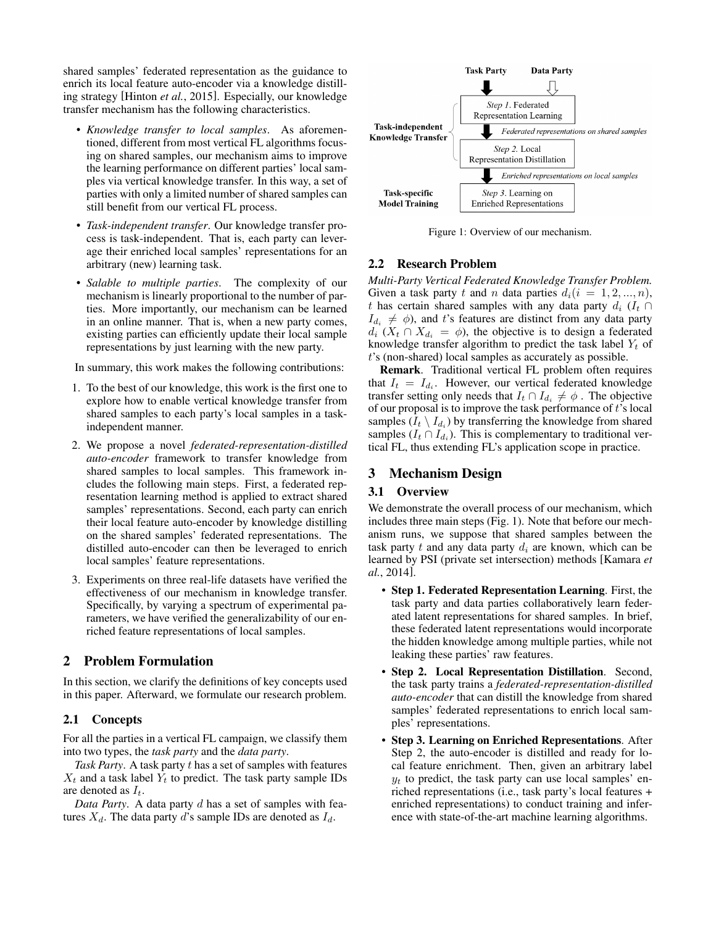shared samples' federated representation as the guidance to enrich its local feature auto-encoder via a knowledge distilling strategy [\[Hinton](#page-6-1) *et al.*, 2015]. Especially, our knowledge transfer mechanism has the following characteristics.

- *Knowledge transfer to local samples*. As aforementioned, different from most vertical FL algorithms focusing on shared samples, our mechanism aims to improve the learning performance on different parties' local samples via vertical knowledge transfer. In this way, a set of parties with only a limited number of shared samples can still benefit from our vertical FL process.
- *Task-independent transfer*. Our knowledge transfer process is task-independent. That is, each party can leverage their enriched local samples' representations for an arbitrary (new) learning task.
- *Salable to multiple parties*. The complexity of our mechanism is linearly proportional to the number of parties. More importantly, our mechanism can be learned in an online manner. That is, when a new party comes, existing parties can efficiently update their local sample representations by just learning with the new party.

In summary, this work makes the following contributions:

- 1. To the best of our knowledge, this work is the first one to explore how to enable vertical knowledge transfer from shared samples to each party's local samples in a taskindependent manner.
- 2. We propose a novel *federated-representation-distilled auto-encoder* framework to transfer knowledge from shared samples to local samples. This framework includes the following main steps. First, a federated representation learning method is applied to extract shared samples' representations. Second, each party can enrich their local feature auto-encoder by knowledge distilling on the shared samples' federated representations. The distilled auto-encoder can then be leveraged to enrich local samples' feature representations.
- 3. Experiments on three real-life datasets have verified the effectiveness of our mechanism in knowledge transfer. Specifically, by varying a spectrum of experimental parameters, we have verified the generalizability of our enriched feature representations of local samples.

# 2 Problem Formulation

In this section, we clarify the definitions of key concepts used in this paper. Afterward, we formulate our research problem.

# 2.1 Concepts

For all the parties in a vertical FL campaign, we classify them into two types, the *task party* and the *data party*.

*Task Party*. A task party t has a set of samples with features  $X_t$  and a task label  $Y_t$  to predict. The task party sample IDs are denoted as  $I_t$ .

*Data Party*. A data party d has a set of samples with features  $X_d$ . The data party d's sample IDs are denoted as  $I_d$ .

<span id="page-1-0"></span>

Figure 1: Overview of our mechanism.

## <span id="page-1-1"></span>2.2 Research Problem

*Multi-Party Vertical Federated Knowledge Transfer Problem.* Given a task party t and n data parties  $d_i(i = 1, 2, ..., n)$ , t has certain shared samples with any data party  $d_i$  ( $I_t \cap$  $I_{d_i} \neq \phi$ ), and t's features are distinct from any data party  $d_i$  ( $X_t \cap X_{d_i} = \phi$ ), the objective is to design a federated knowledge transfer algorithm to predict the task label  $Y_t$  of t's (non-shared) local samples as accurately as possible.

Remark. Traditional vertical FL problem often requires that  $I_t = I_{d_i}$ . However, our vertical federated knowledge transfer setting only needs that  $I_t \cap I_{d_i} \neq \emptyset$ . The objective of our proposal is to improve the task performance of t's local samples ( $I_t \setminus I_{d_i}$ ) by transferring the knowledge from shared samples ( $I_t \cap I_{d_i}$ ). This is complementary to traditional vertical FL, thus extending FL's application scope in practice.

## 3 Mechanism Design

### 3.1 Overview

We demonstrate the overall process of our mechanism, which includes three main steps (Fig. [1\)](#page-1-0). Note that before our mechanism runs, we suppose that shared samples between the task party t and any data party  $d_i$  are known, which can be learned by PSI (private set intersection) methods [\[Kamara](#page-7-3) *et al.*[, 2014\]](#page-7-3).

- Step 1. Federated Representation Learning. First, the task party and data parties collaboratively learn federated latent representations for shared samples. In brief, these federated latent representations would incorporate the hidden knowledge among multiple parties, while not leaking these parties' raw features.
- Step 2. Local Representation Distillation. Second, the task party trains a *federated-representation-distilled auto-encoder* that can distill the knowledge from shared samples' federated representations to enrich local samples' representations.
- Step 3. Learning on Enriched Representations. After Step 2, the auto-encoder is distilled and ready for local feature enrichment. Then, given an arbitrary label  $y_t$  to predict, the task party can use local samples' enriched representations (i.e., task party's local features + enriched representations) to conduct training and inference with state-of-the-art machine learning algorithms.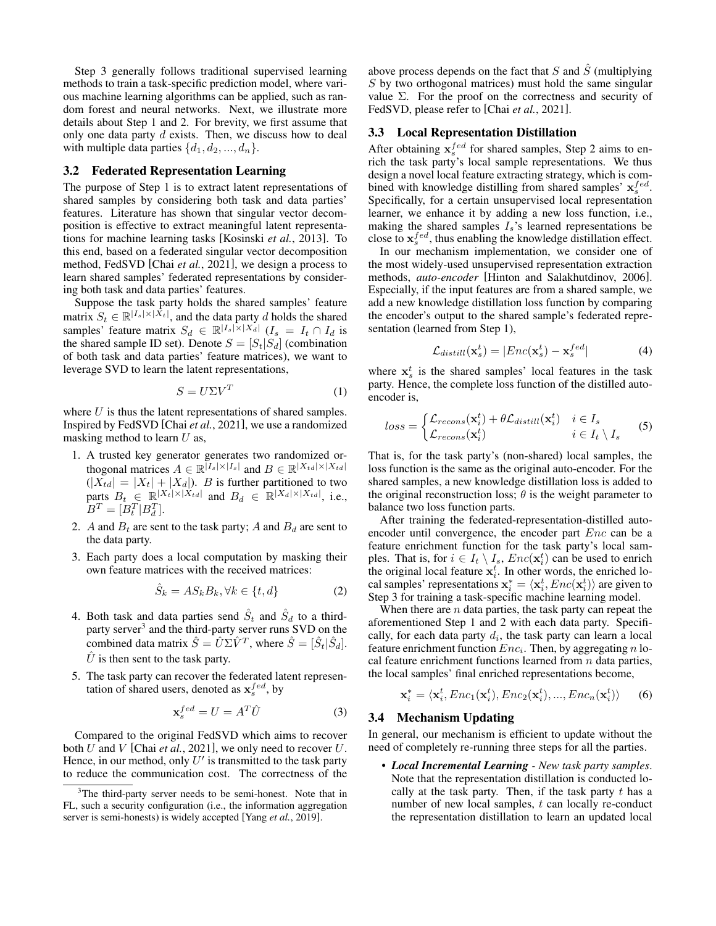Step 3 generally follows traditional supervised learning methods to train a task-specific prediction model, where various machine learning algorithms can be applied, such as random forest and neural networks. Next, we illustrate more details about Step 1 and 2. For brevity, we first assume that only one data party  $d$  exists. Then, we discuss how to deal with multiple data parties  $\{d_1, d_2, ..., d_n\}$ .

## 3.2 Federated Representation Learning

The purpose of Step 1 is to extract latent representations of shared samples by considering both task and data parties' features. Literature has shown that singular vector decomposition is effective to extract meaningful latent representations for machine learning tasks [\[Kosinski](#page-7-4) *et al.*, 2013]. To this end, based on a federated singular vector decomposition method, FedSVD [Chai *et al.*[, 2021\]](#page-6-0), we design a process to learn shared samples' federated representations by considering both task and data parties' features.

Suppose the task party holds the shared samples' feature matrix  $S_t \in \mathbb{R}^{|I_s| \times |\bar{X}_t|}$ , and the data party d holds the shared samples' feature matrix  $S_d \in \mathbb{R}^{|I_s| \times |X_d|}$   $(I_s = I_t \cap I_d$  is the shared sample ID set). Denote  $S = [S_t | S_d]$  (combination of both task and data parties' feature matrices), we want to leverage SVD to learn the latent representations,

$$
S = U\Sigma V^T \tag{1}
$$

where  $U$  is thus the latent representations of shared samples. Inspired by FedSVD [Chai *et al.*[, 2021\]](#page-6-0), we use a randomized masking method to learn  $U$  as,

- 1. A trusted key generator generates two randomized orthogonal matrices  $A \in \mathbb{R}^{\lceil I_s \rceil \times |I_s \rceil}$  and  $B \in \mathbb{R}^{\lceil X_{td} \rceil \times \lceil X_{td} \rceil}$  $(|X_{td}| = |X_t| + |X_d|)$ . B is further partitioned to two parts  $B_t \in \mathbb{R}^{|X_t| \times |X_{td}|}$  and  $B_d \in \mathbb{R}^{|X_d| \times |X_{td}|}$ , i.e.,  $B^{T} = [B_{t}^{T} | B_{d}^{T}].$
- 2. A and  $B_t$  are sent to the task party; A and  $B_d$  are sent to the data party.
- 3. Each party does a local computation by masking their own feature matrices with the received matrices:

$$
\hat{S}_k = AS_k B_k, \forall k \in \{t, d\}
$$
 (2)

- 4. Both task and data parties send  $\hat{S}_t$  and  $\hat{S}_d$  to a third-party server<sup>[3](#page-2-0)</sup> and the third-party server runs SVD on the combined data matrix  $\hat{S} = \hat{U} \Sigma \hat{V}^T$ , where  $\hat{S} = [\hat{S}_t | \hat{S}_d].$  $\hat{U}$  is then sent to the task party.
- 5. The task party can recover the federated latent representation of shared users, denoted as  $\mathbf{x}_{s}^{fed}$ , by

$$
\mathbf{x}_s^{fed} = U = A^T \hat{U} \tag{3}
$$

Compared to the original FedSVD which aims to recover both U and V [Chai *et al.*[, 2021\]](#page-6-0), we only need to recover U. Hence, in our method, only  $U'$  is transmitted to the task party to reduce the communication cost. The correctness of the above process depends on the fact that  $S$  and  $\hat{S}$  (multiplying  $S$  by two orthogonal matrices) must hold the same singular value  $\Sigma$ . For the proof on the correctness and security of FedSVD, please refer to [Chai *et al.*[, 2021\]](#page-6-0).

#### 3.3 Local Representation Distillation

After obtaining  $x_s^{fed}$  for shared samples, Step 2 aims to enrich the task party's local sample representations. We thus design a novel local feature extracting strategy, which is combined with knowledge distilling from shared samples'  $\mathbf{x}_{s}^{fed}$ . Specifically, for a certain unsupervised local representation learner, we enhance it by adding a new loss function, i.e., making the shared samples  $I_s$ 's learned representations be close to  $\mathbf{x}_s^{fed}$ , thus enabling the knowledge distillation effect.

In our mechanism implementation, we consider one of the most widely-used unsupervised representation extraction methods, *auto-encoder* [\[Hinton and Salakhutdinov, 2006\]](#page-6-2). Especially, if the input features are from a shared sample, we add a new knowledge distillation loss function by comparing the encoder's output to the shared sample's federated representation (learned from Step 1),

$$
\mathcal{L}_{distill}(\mathbf{x}_s^t) = |Enc(\mathbf{x}_s^t) - \mathbf{x}_s^{fed}|
$$
\n(4)

where  $x_s^t$  is the shared samples' local features in the task party. Hence, the complete loss function of the distilled autoencoder is,

$$
loss = \begin{cases} \mathcal{L}_{recons}(\mathbf{x}_i^t) + \theta \mathcal{L}_{distill}(\mathbf{x}_i^t) & i \in I_s \\ \mathcal{L}_{recons}(\mathbf{x}_i^t) & i \in I_t \setminus I_s \end{cases} \tag{5}
$$

That is, for the task party's (non-shared) local samples, the loss function is the same as the original auto-encoder. For the shared samples, a new knowledge distillation loss is added to the original reconstruction loss;  $\theta$  is the weight parameter to balance two loss function parts.

After training the federated-representation-distilled autoencoder until convergence, the encoder part *Enc* can be a feature enrichment function for the task party's local samples. That is, for  $i \in I_t \setminus I_s$ ,  $Enc(\mathbf{x}_i^t)$  can be used to enrich the original local feature  $x_i^t$ . In other words, the enriched local samples' representations  $\mathbf{x}_i^* = \langle \mathbf{x}_i^t, Enc(\mathbf{x}_i^t) \rangle$  are given to Step 3 for training a task-specific machine learning model.

When there are  $n$  data parties, the task party can repeat the aforementioned Step 1 and 2 with each data party. Specifically, for each data party  $d_i$ , the task party can learn a local feature enrichment function  $Enc_i$ . Then, by aggregating n local feature enrichment functions learned from  $n$  data parties, the local samples' final enriched representations become,

$$
\mathbf{x}_{i}^{*} = \langle \mathbf{x}_{i}^{t}, Enc_{1}(\mathbf{x}_{i}^{t}), Enc_{2}(\mathbf{x}_{i}^{t}), ..., Enc_{n}(\mathbf{x}_{i}^{t}) \rangle \qquad (6)
$$

### 3.4 Mechanism Updating

In general, our mechanism is efficient to update without the need of completely re-running three steps for all the parties.

• *Local Incremental Learning - New task party samples*. Note that the representation distillation is conducted locally at the task party. Then, if the task party  $t$  has a number of new local samples,  $t$  can locally re-conduct the representation distillation to learn an updated local

<span id="page-2-0"></span><sup>&</sup>lt;sup>3</sup>The third-party server needs to be semi-honest. Note that in FL, such a security configuration (i.e., the information aggregation server is semi-honests) is widely accepted [Yang *et al.*[, 2019\]](#page-7-0).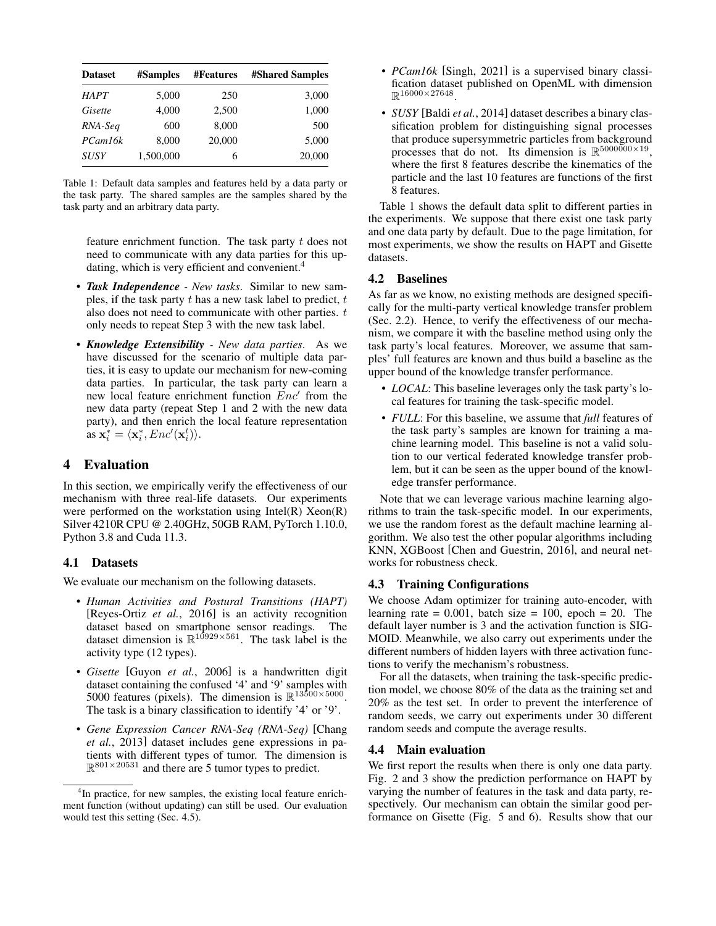<span id="page-3-1"></span>

| <b>Dataset</b> | <b>#Samples</b> | <b>#Features</b> | <b>#Shared Samples</b> |
|----------------|-----------------|------------------|------------------------|
| <b>HAPT</b>    | 5,000           | 250              | 3,000                  |
| Gisette        | 4,000           | 2,500            | 1,000                  |
| RNA-Seq        | 600             | 8,000            | 500                    |
| PCam16k        | 8,000           | 20,000           | 5,000                  |
| <b>SUSY</b>    | 1,500,000       | 6                | 20,000                 |

Table 1: Default data samples and features held by a data party or the task party. The shared samples are the samples shared by the task party and an arbitrary data party.

feature enrichment function. The task party  $t$  does not need to communicate with any data parties for this up-dating, which is very efficient and convenient.<sup>[4](#page-3-0)</sup>

- *Task Independence New tasks*. Similar to new samples, if the task party  $t$  has a new task label to predict,  $t$ also does not need to communicate with other parties.  $t$ only needs to repeat Step 3 with the new task label.
- *Knowledge Extensibility New data parties*. As we have discussed for the scenario of multiple data parties, it is easy to update our mechanism for new-coming data parties. In particular, the task party can learn a new local feature enrichment function  $\overline{E}nc'$  from the new data party (repeat Step 1 and 2 with the new data party), and then enrich the local feature representation as  $\mathbf{x}_i^* = \langle \mathbf{x}_i^*, Enc(\mathbf{x}_i^t) \rangle$ .

# 4 Evaluation

In this section, we empirically verify the effectiveness of our mechanism with three real-life datasets. Our experiments were performed on the workstation using Intel $(R)$  Xeon $(R)$ Silver 4210R CPU @ 2.40GHz, 50GB RAM, PyTorch 1.10.0, Python 3.8 and Cuda 11.3.

### 4.1 Datasets

We evaluate our mechanism on the following datasets.

- *Human Activities and Postural Transitions (HAPT)* [\[Reyes-Ortiz](#page-7-5) *et al.*, 2016] is an activity recognition dataset based on smartphone sensor readings. The dataset dimension is  $\mathbb{R}^{10929\times561}$ . The task label is the activity type (12 types).
- *Gisette* [Guyon *et al.*[, 2006\]](#page-6-3) is a handwritten digit dataset containing the confused '4' and '9' samples with 5000 features (pixels). The dimension is  $\mathbb{R}^{13\overline{5}00\times5000}$ . The task is a binary classification to identify '4' or '9'.
- *Gene Expression Cancer RNA-Seq (RNA-Seq)* [\[Chang](#page-6-4) *et al.*[, 2013\]](#page-6-4) dataset includes gene expressions in patients with different types of tumor. The dimension is  $\mathbb{R}^{801\times20531}$  and there are 5 tumor types to predict.
- *PCam16k* [\[Singh, 2021\]](#page-7-6) is a supervised binary classification dataset published on OpenML with dimension  $\mathbb{R}^{16000\times 27648}$ .
- *SUSY* [Baldi *et al.*[, 2014\]](#page-6-5) dataset describes a binary classification problem for distinguishing signal processes that produce supersymmetric particles from background processes that do not. Its dimension is  $\mathbb{R}^{5000000\times19}$ , where the first 8 features describe the kinematics of the particle and the last 10 features are functions of the first 8 features.

Table [1](#page-3-1) shows the default data split to different parties in the experiments. We suppose that there exist one task party and one data party by default. Due to the page limitation, for most experiments, we show the results on HAPT and Gisette datasets.

## 4.2 Baselines

As far as we know, no existing methods are designed specifically for the multi-party vertical knowledge transfer problem (Sec. [2.2\)](#page-1-1). Hence, to verify the effectiveness of our mechanism, we compare it with the baseline method using only the task party's local features. Moreover, we assume that samples' full features are known and thus build a baseline as the upper bound of the knowledge transfer performance.

- *LOCAL*: This baseline leverages only the task party's local features for training the task-specific model.
- *FULL*: For this baseline, we assume that *full* features of the task party's samples are known for training a machine learning model. This baseline is not a valid solution to our vertical federated knowledge transfer problem, but it can be seen as the upper bound of the knowledge transfer performance.

Note that we can leverage various machine learning algorithms to train the task-specific model. In our experiments, we use the random forest as the default machine learning algorithm. We also test the other popular algorithms including KNN, XGBoost [\[Chen and Guestrin, 2016\]](#page-6-6), and neural networks for robustness check.

### 4.3 Training Configurations

We choose Adam optimizer for training auto-encoder, with learning rate  $= 0.001$ , batch size  $= 100$ , epoch  $= 20$ . The default layer number is 3 and the activation function is SIG-MOID. Meanwhile, we also carry out experiments under the different numbers of hidden layers with three activation functions to verify the mechanism's robustness.

For all the datasets, when training the task-specific prediction model, we choose 80% of the data as the training set and 20% as the test set. In order to prevent the interference of random seeds, we carry out experiments under 30 different random seeds and compute the average results.

#### 4.4 Main evaluation

We first report the results when there is only one data party. Fig. [2](#page-4-0) and [3](#page-4-0) show the prediction performance on HAPT by varying the number of features in the task and data party, respectively. Our mechanism can obtain the similar good performance on Gisette (Fig. [5](#page-4-0) and [6\)](#page-4-0). Results show that our

<span id="page-3-0"></span><sup>&</sup>lt;sup>4</sup>In practice, for new samples, the existing local feature enrichment function (without updating) can still be used. Our evaluation would test this setting (Sec. 4.5).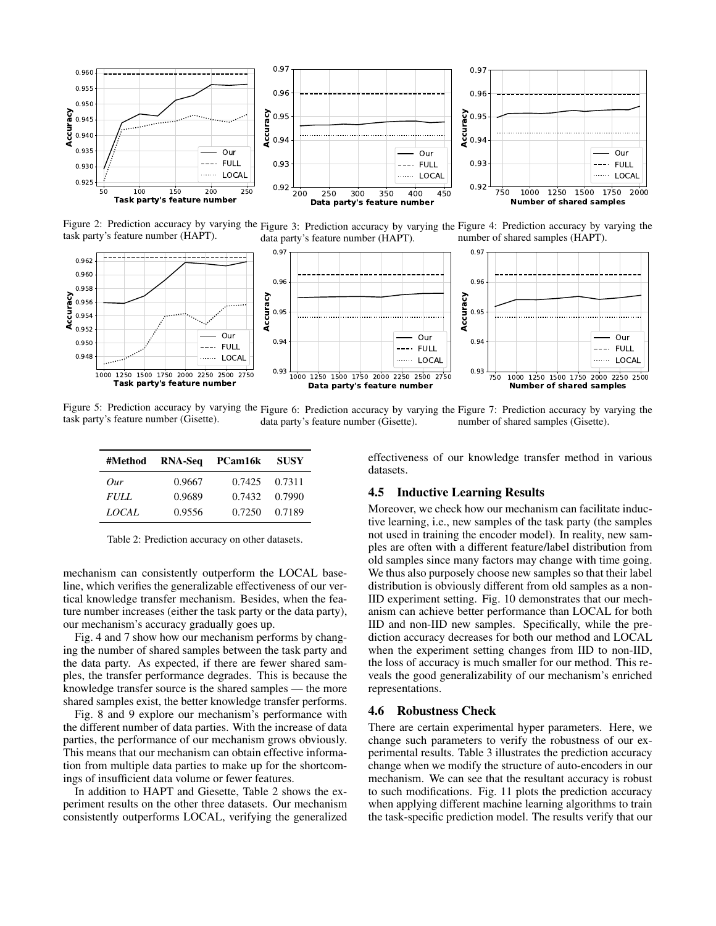<span id="page-4-0"></span>

task party's feature number (HAPT).

Figure 2: Prediction accuracy by varying the Figure 3: Prediction accuracy by varying the Figure 4: Prediction accuracy by varying the data party's feature number (HAPT). number of shared samples (HAPT).



Figure 5: Prediction accuracy by varying the Figure 6: Prediction accuracy by varying the Figure 7: Prediction accuracy by varying the task party's feature number (Gisette). data party's feature number (Gisette). number of shared samples (Gisette).

<span id="page-4-1"></span>

| #Method      | RNA-Seq | PCam16k | <b>SUSY</b> |
|--------------|---------|---------|-------------|
| Our          | 0.9667  | 0.7425  | 0.7311      |
| <i>FULL</i>  | 0.9689  | 0.7432  | 0.7990      |
| <i>LOCAL</i> | 0.9556  | 0.7250  | 0.7189      |

Table 2: Prediction accuracy on other datasets.

mechanism can consistently outperform the LOCAL baseline, which verifies the generalizable effectiveness of our vertical knowledge transfer mechanism. Besides, when the feature number increases (either the task party or the data party), our mechanism's accuracy gradually goes up.

Fig. [4](#page-4-0) and [7](#page-4-0) show how our mechanism performs by changing the number of shared samples between the task party and the data party. As expected, if there are fewer shared samples, the transfer performance degrades. This is because the knowledge transfer source is the shared samples — the more shared samples exist, the better knowledge transfer performs.

Fig. [8](#page-5-0) and [9](#page-5-0) explore our mechanism's performance with the different number of data parties. With the increase of data parties, the performance of our mechanism grows obviously. This means that our mechanism can obtain effective information from multiple data parties to make up for the shortcomings of insufficient data volume or fewer features.

In addition to HAPT and Giesette, Table [2](#page-4-1) shows the experiment results on the other three datasets. Our mechanism consistently outperforms LOCAL, verifying the generalized effectiveness of our knowledge transfer method in various datasets.

#### 4.5 Inductive Learning Results

Moreover, we check how our mechanism can facilitate inductive learning, i.e., new samples of the task party (the samples not used in training the encoder model). In reality, new samples are often with a different feature/label distribution from old samples since many factors may change with time going. We thus also purposely choose new samples so that their label distribution is obviously different from old samples as a non-IID experiment setting. Fig. [10](#page-5-0) demonstrates that our mechanism can achieve better performance than LOCAL for both IID and non-IID new samples. Specifically, while the prediction accuracy decreases for both our method and LOCAL when the experiment setting changes from IID to non-IID, the loss of accuracy is much smaller for our method. This reveals the good generalizability of our mechanism's enriched representations.

#### 4.6 Robustness Check

There are certain experimental hyper parameters. Here, we change such parameters to verify the robustness of our experimental results. Table [3](#page-5-1) illustrates the prediction accuracy change when we modify the structure of auto-encoders in our mechanism. We can see that the resultant accuracy is robust to such modifications. Fig. [11](#page-6-7) plots the prediction accuracy when applying different machine learning algorithms to train the task-specific prediction model. The results verify that our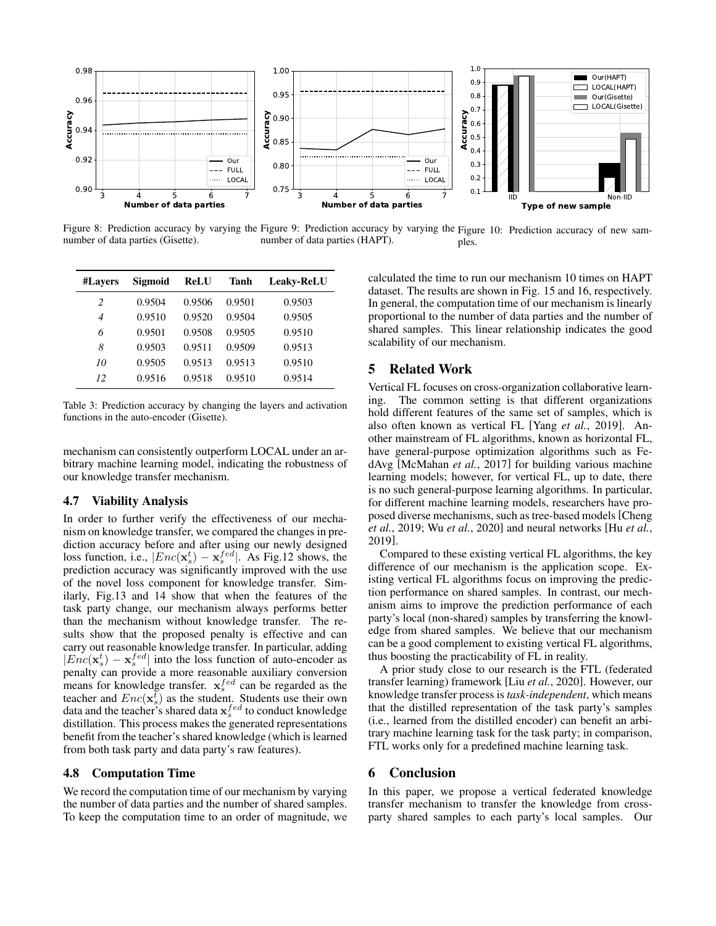<span id="page-5-0"></span>

Figure 8: Prediction accuracy by varying the Figure 9: Prediction accuracy by varying the Figure 10: Prediction accuracy of new samnumber of data parties (Gisette). number of data parties (HAPT). ples.

<span id="page-5-1"></span>

| #Lavers | Sigmoid | <b>ReLU</b> | Tanh   | <b>Leaky-ReLU</b> |
|---------|---------|-------------|--------|-------------------|
| 2       | 0.9504  | 0.9506      | 0.9501 | 0.9503            |
| 4       | 0.9510  | 0.9520      | 0.9504 | 0.9505            |
| 6       | 0.9501  | 0.9508      | 0.9505 | 0.9510            |
| 8       | 0.9503  | 0.9511      | 0.9509 | 0.9513            |
| 10      | 0.9505  | 0.9513      | 0.9513 | 0.9510            |
| 12      | 0.9516  | 0.9518      | 0.9510 | 0.9514            |

Table 3: Prediction accuracy by changing the layers and activation functions in the auto-encoder (Gisette).

mechanism can consistently outperform LOCAL under an arbitrary machine learning model, indicating the robustness of our knowledge transfer mechanism.

## 4.7 Viability Analysis

In order to further verify the effectiveness of our mechanism on knowledge transfer, we compared the changes in prediction accuracy before and after using our newly designed loss function, i.e.,  $|Enc(\mathbf{x}_s^t) - \mathbf{x}_s^{fed}|$ . As Fig[.12](#page-6-7) shows, the prediction accuracy was significantly improved with the use of the novel loss component for knowledge transfer. Similarly, Fig[.13](#page-6-7) and [14](#page-6-7) show that when the features of the task party change, our mechanism always performs better than the mechanism without knowledge transfer. The results show that the proposed penalty is effective and can carry out reasonable knowledge transfer. In particular, adding  $|Enc(\mathbf{x}_s^t) - \mathbf{x}_s^{fed}|$  into the loss function of auto-encoder as penalty can provide a more reasonable auxiliary conversion means for knowledge transfer.  $\mathbf{x}_s^{fed}$  can be regarded as the teacher and  $Enc(\mathbf{x}_s^t)$  as the student. Students use their own data and the teacher's shared data  $\mathbf{x}_{s}^{fed}$  to conduct knowledge distillation. This process makes the generated representations benefit from the teacher's shared knowledge (which is learned from both task party and data party's raw features).

#### 4.8 Computation Time

We record the computation time of our mechanism by varying the number of data parties and the number of shared samples. To keep the computation time to an order of magnitude, we calculated the time to run our mechanism 10 times on HAPT dataset. The results are shown in Fig. [15](#page-6-7) and [16,](#page-6-7) respectively. In general, the computation time of our mechanism is linearly proportional to the number of data parties and the number of shared samples. This linear relationship indicates the good scalability of our mechanism.

## 5 Related Work

Vertical FL focuses on cross-organization collaborative learning. The common setting is that different organizations hold different features of the same set of samples, which is also often known as vertical FL [Yang *et al.*[, 2019\]](#page-7-0). Another mainstream of FL algorithms, known as horizontal FL, have general-purpose optimization algorithms such as FedAvg [\[McMahan](#page-7-1) *et al.*, 2017] for building various machine learning models; however, for vertical FL, up to date, there is no such general-purpose learning algorithms. In particular, for different machine learning models, researchers have proposed diverse mechanisms, such as tree-based models [\[Cheng](#page-6-8) *et al.*[, 2019;](#page-6-8) Wu *et al.*[, 2020\]](#page-7-7) and neural networks [Hu *[et al.](#page-6-9)*, [2019\]](#page-6-9).

Compared to these existing vertical FL algorithms, the key difference of our mechanism is the application scope. Existing vertical FL algorithms focus on improving the prediction performance on shared samples. In contrast, our mechanism aims to improve the prediction performance of each party's local (non-shared) samples by transferring the knowledge from shared samples. We believe that our mechanism can be a good complement to existing vertical FL algorithms, thus boosting the practicability of FL in reality.

A prior study close to our research is the FTL (federated transfer learning) framework [Liu *et al.*[, 2020\]](#page-7-8). However, our knowledge transfer process is *task-independent*, which means that the distilled representation of the task party's samples (i.e., learned from the distilled encoder) can benefit an arbitrary machine learning task for the task party; in comparison, FTL works only for a predefined machine learning task.

## 6 Conclusion

In this paper, we propose a vertical federated knowledge transfer mechanism to transfer the knowledge from crossparty shared samples to each party's local samples. Our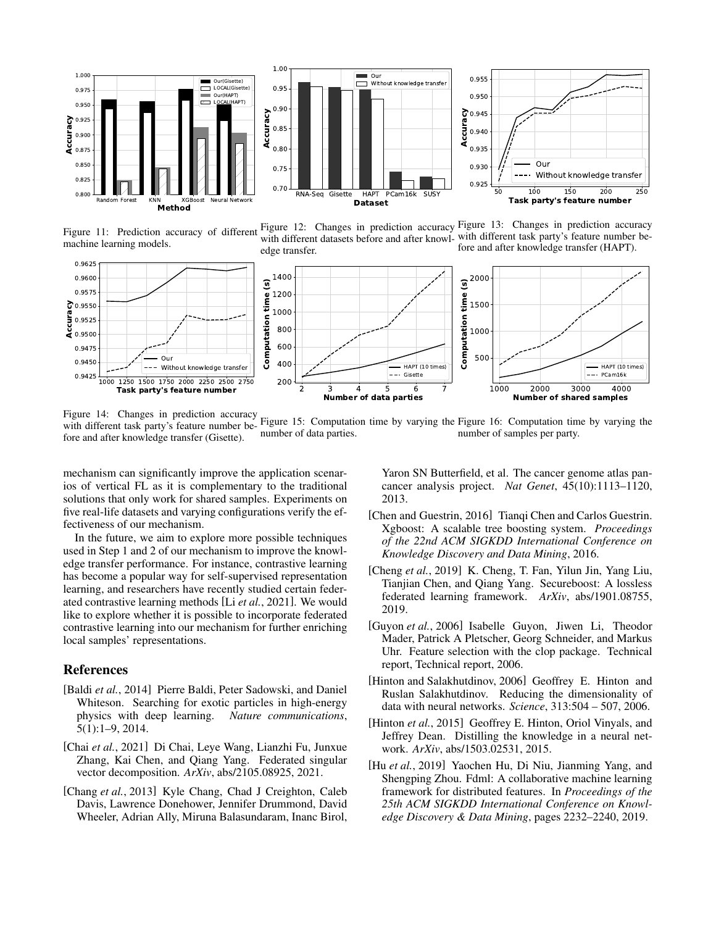<span id="page-6-7"></span>

Figure 11: Prediction accuracy of different machine learning models.





Figure 12: Changes in prediction accuracy Figure 13: Changes in prediction accuracy with different datasets before and after knowl-with different task party's feature number before and after knowledge transfer (HAPT).

Our

 $150$ 

200

Without knowledge transfer

 $250$ 



Figure 14: Changes in prediction accuracy with different task party's feature number be-

fore and after knowledge transfer (Gisette). Figure 15: Computation time by varying the Figure 16: Computation time by varying the number of data parties. number of samples per party.

mechanism can significantly improve the application scenarios of vertical FL as it is complementary to the traditional solutions that only work for shared samples. Experiments on five real-life datasets and varying configurations verify the effectiveness of our mechanism.

In the future, we aim to explore more possible techniques used in Step 1 and 2 of our mechanism to improve the knowledge transfer performance. For instance, contrastive learning has become a popular way for self-supervised representation learning, and researchers have recently studied certain federated contrastive learning methods [Li *et al.*[, 2021\]](#page-7-9). We would like to explore whether it is possible to incorporate federated contrastive learning into our mechanism for further enriching local samples' representations.

### References

- <span id="page-6-5"></span>[Baldi *et al.*, 2014] Pierre Baldi, Peter Sadowski, and Daniel Whiteson. Searching for exotic particles in high-energy physics with deep learning. *Nature communications*, 5(1):1–9, 2014.
- <span id="page-6-0"></span>[Chai *et al.*, 2021] Di Chai, Leye Wang, Lianzhi Fu, Junxue Zhang, Kai Chen, and Qiang Yang. Federated singular vector decomposition. *ArXiv*, abs/2105.08925, 2021.
- <span id="page-6-4"></span>[Chang et al., 2013] Kyle Chang, Chad J Creighton, Caleb Davis, Lawrence Donehower, Jennifer Drummond, David Wheeler, Adrian Ally, Miruna Balasundaram, Inanc Birol,

Yaron SN Butterfield, et al. The cancer genome atlas pancancer analysis project. *Nat Genet*, 45(10):1113–1120, 2013.

- <span id="page-6-6"></span>[Chen and Guestrin, 2016] Tianqi Chen and Carlos Guestrin. Xgboost: A scalable tree boosting system. *Proceedings of the 22nd ACM SIGKDD International Conference on Knowledge Discovery and Data Mining*, 2016.
- <span id="page-6-8"></span>[Cheng *et al.*, 2019] K. Cheng, T. Fan, Yilun Jin, Yang Liu, Tianjian Chen, and Qiang Yang. Secureboost: A lossless federated learning framework. *ArXiv*, abs/1901.08755, 2019.
- <span id="page-6-3"></span>[Guyon *et al.*, 2006] Isabelle Guyon, Jiwen Li, Theodor Mader, Patrick A Pletscher, Georg Schneider, and Markus Uhr. Feature selection with the clop package. Technical report, Technical report, 2006.
- <span id="page-6-2"></span>[Hinton and Salakhutdinov, 2006] Geoffrey E. Hinton and Ruslan Salakhutdinov. Reducing the dimensionality of data with neural networks. *Science*, 313:504 – 507, 2006.
- <span id="page-6-1"></span>[Hinton *et al.*, 2015] Geoffrey E. Hinton, Oriol Vinyals, and Jeffrey Dean. Distilling the knowledge in a neural network. *ArXiv*, abs/1503.02531, 2015.
- <span id="page-6-9"></span>[Hu *et al.*, 2019] Yaochen Hu, Di Niu, Jianming Yang, and Shengping Zhou. Fdml: A collaborative machine learning framework for distributed features. In *Proceedings of the 25th ACM SIGKDD International Conference on Knowledge Discovery & Data Mining*, pages 2232–2240, 2019.